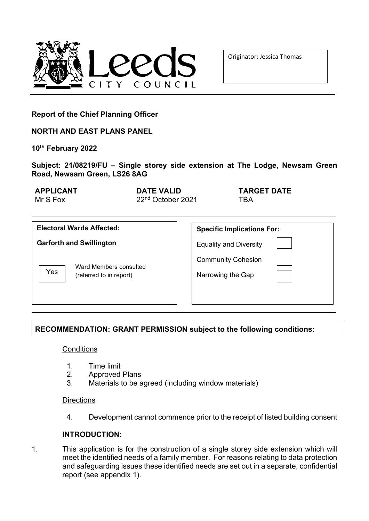

Originator: Jessica Thomas

**Report of the Chief Planning Officer**

**NORTH AND EAST PLANS PANEL**

**10th February 2022**

**Subject: 21/08219/FU – Single storey side extension at The Lodge, Newsam Green Road, Newsam Green, LS26 8AG**

| <b>APPLICANT</b> | DATE VALID                    | <b>TARGET DATE</b> |
|------------------|-------------------------------|--------------------|
| Mr S Fox         | 22 <sup>nd</sup> October 2021 | <b>TRA</b>         |
|                  |                               |                    |

| <b>Electoral Wards Affected:</b>                         | <b>Specific Implications For:</b>              |
|----------------------------------------------------------|------------------------------------------------|
| <b>Garforth and Swillington</b>                          | <b>Equality and Diversity</b>                  |
| Ward Members consulted<br>Yes<br>(referred to in report) | <b>Community Cohesion</b><br>Narrowing the Gap |

# **RECOMMENDATION: GRANT PERMISSION subject to the following conditions:**

**Conditions** 

- 1. Time limit
- 2. Approved Plans<br>3. Materials to be a
- Materials to be agreed (including window materials)

**Directions** 

4. Development cannot commence prior to the receipt of listed building consent

# **INTRODUCTION:**

1. This application is for the construction of a single storey side extension which will meet the identified needs of a family member. For reasons relating to data protection and safeguarding issues these identified needs are set out in a separate, confidential report (see appendix 1).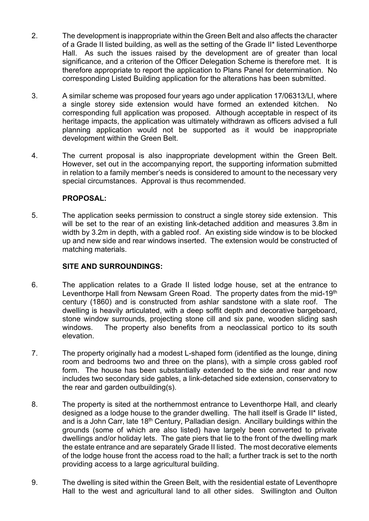- 2. The development is inappropriate within the Green Belt and also affects the character of a Grade II listed building, as well as the setting of the Grade II\* listed Leventhorpe Hall. As such the issues raised by the development are of greater than local significance, and a criterion of the Officer Delegation Scheme is therefore met. It is therefore appropriate to report the application to Plans Panel for determination. No corresponding Listed Building application for the alterations has been submitted.
- 3. A similar scheme was proposed four years ago under application 17/06313/LI, where a single storey side extension would have formed an extended kitchen. No corresponding full application was proposed. Although acceptable in respect of its heritage impacts, the application was ultimately withdrawn as officers advised a full planning application would not be supported as it would be inappropriate development within the Green Belt.
- 4. The current proposal is also inappropriate development within the Green Belt. However, set out in the accompanying report, the supporting information submitted in relation to a family member's needs is considered to amount to the necessary very special circumstances. Approval is thus recommended.

# **PROPOSAL:**

5. The application seeks permission to construct a single storey side extension. This will be set to the rear of an existing link-detached addition and measures 3.8m in width by 3.2m in depth, with a gabled roof. An existing side window is to be blocked up and new side and rear windows inserted. The extension would be constructed of matching materials.

# **SITE AND SURROUNDINGS:**

- 6. The application relates to a Grade II listed lodge house, set at the entrance to Leventhorpe Hall from Newsam Green Road. The property dates from the mid-19<sup>th</sup> century (1860) and is constructed from ashlar sandstone with a slate roof. The dwelling is heavily articulated, with a deep soffit depth and decorative bargeboard, stone window surrounds, projecting stone cill and six pane, wooden sliding sash windows. The property also benefits from a neoclassical portico to its south elevation.
- 7. The property originally had a modest L-shaped form (identified as the lounge, dining room and bedrooms two and three on the plans), with a simple cross gabled roof form. The house has been substantially extended to the side and rear and now includes two secondary side gables, a link-detached side extension, conservatory to the rear and garden outbuilding(s).
- 8. The property is sited at the northernmost entrance to Leventhorpe Hall, and clearly designed as a lodge house to the grander dwelling. The hall itself is Grade II\* listed, and is a John Carr, late  $18<sup>th</sup>$  Century, Palladian design. Ancillary buildings within the grounds (some of which are also listed) have largely been converted to private dwellings and/or holiday lets. The gate piers that lie to the front of the dwelling mark the estate entrance and are separately Grade II listed. The most decorative elements of the lodge house front the access road to the hall; a further track is set to the north providing access to a large agricultural building.
- 9. The dwelling is sited within the Green Belt, with the residential estate of Leventhopre Hall to the west and agricultural land to all other sides. Swillington and Oulton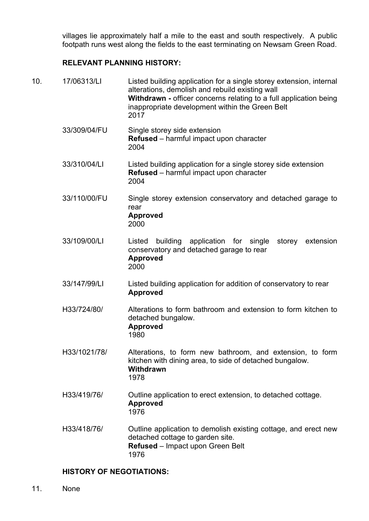villages lie approximately half a mile to the east and south respectively. A public footpath runs west along the fields to the east terminating on Newsam Green Road.

# **RELEVANT PLANNING HISTORY:**

| 10.<br>17/06313/LI<br>2017 |              | Listed building application for a single storey extension, internal<br>alterations, demolish and rebuild existing wall<br>Withdrawn - officer concerns relating to a full application being<br>inappropriate development within the Green Belt |
|----------------------------|--------------|------------------------------------------------------------------------------------------------------------------------------------------------------------------------------------------------------------------------------------------------|
|                            | 33/309/04/FU | Single storey side extension<br>Refused - harmful impact upon character<br>2004                                                                                                                                                                |
|                            | 33/310/04/LI | Listed building application for a single storey side extension<br>Refused - harmful impact upon character<br>2004                                                                                                                              |
|                            | 33/110/00/FU | Single storey extension conservatory and detached garage to<br>rear<br><b>Approved</b><br>2000                                                                                                                                                 |
|                            | 33/109/00/LI | building<br>application for single<br>extension<br>Listed<br>storey<br>conservatory and detached garage to rear<br><b>Approved</b><br>2000                                                                                                     |
|                            | 33/147/99/LI | Listed building application for addition of conservatory to rear<br><b>Approved</b>                                                                                                                                                            |
|                            | H33/724/80/  | Alterations to form bathroom and extension to form kitchen to<br>detached bungalow.<br><b>Approved</b><br>1980                                                                                                                                 |
|                            | H33/1021/78/ | Alterations, to form new bathroom, and extension, to form<br>kitchen with dining area, to side of detached bungalow.<br>Withdrawn<br>1978                                                                                                      |
|                            | H33/419/76/  | Outline application to erect extension, to detached cottage.<br><b>Approved</b><br>1976                                                                                                                                                        |
|                            | H33/418/76/  | Outline application to demolish existing cottage, and erect new<br>detached cottage to garden site.<br>Refused - Impact upon Green Belt<br>1976                                                                                                |

# **HISTORY OF NEGOTIATIONS:**

11. None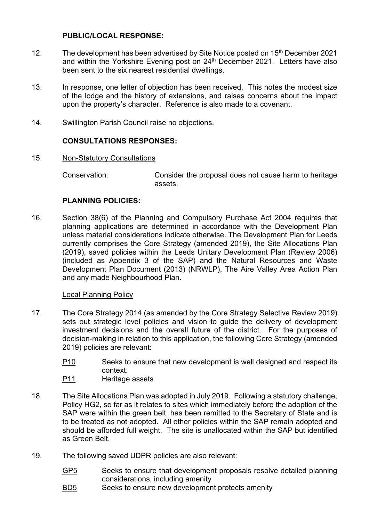# **PUBLIC/LOCAL RESPONSE:**

- 12. The development has been advertised by Site Notice posted on 15<sup>th</sup> December 2021 and within the Yorkshire Evening post on  $24<sup>th</sup>$  December 2021. Letters have also been sent to the six nearest residential dwellings.
- 13. In response, one letter of objection has been received. This notes the modest size of the lodge and the history of extensions, and raises concerns about the impact upon the property's character. Reference is also made to a covenant.
- 14. Swillington Parish Council raise no objections.

# **CONSULTATIONS RESPONSES:**

15. Non-Statutory Consultations

Conservation: Consider the proposal does not cause harm to heritage assets.

## **PLANNING POLICIES:**

16. Section 38(6) of the Planning and Compulsory Purchase Act 2004 requires that planning applications are determined in accordance with the Development Plan unless material considerations indicate otherwise. The Development Plan for Leeds currently comprises the Core Strategy (amended 2019), the Site Allocations Plan (2019), saved policies within the Leeds Unitary Development Plan (Review 2006) (included as Appendix 3 of the SAP) and the Natural Resources and Waste Development Plan Document (2013) (NRWLP), The Aire Valley Area Action Plan and any made Neighbourhood Plan.

#### Local Planning Policy

- 17. The Core Strategy 2014 (as amended by the Core Strategy Selective Review 2019) sets out strategic level policies and vision to guide the delivery of development investment decisions and the overall future of the district. For the purposes of decision-making in relation to this application, the following Core Strategy (amended 2019) policies are relevant:
	- P10 Seeks to ensure that new development is well designed and respect its context.
	- P11 Heritage assets
- 18. The Site Allocations Plan was adopted in July 2019. Following a statutory challenge, Policy HG2, so far as it relates to sites which immediately before the adoption of the SAP were within the green belt, has been remitted to the Secretary of State and is to be treated as not adopted. All other policies within the SAP remain adopted and should be afforded full weight. The site is unallocated within the SAP but identified as Green Belt.
- 19. The following saved UDPR policies are also relevant:
	- GP5 Seeks to ensure that development proposals resolve detailed planning considerations, including amenity
	- BD5 Seeks to ensure new development protects amenity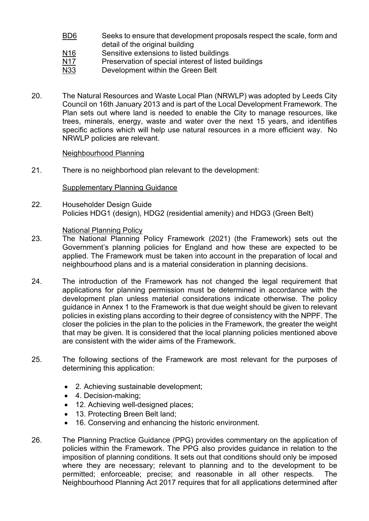- BD6 Seeks to ensure that development proposals respect the scale, form and detail of the original building
- N<sub>16</sub> Sensitive extensions to listed buildings
- N17 Preservation of special interest of listed buildings
- N33 Development within the Green Belt
- 20. The Natural Resources and Waste Local Plan (NRWLP) was adopted by Leeds City Council on 16th January 2013 and is part of the Local Development Framework. The Plan sets out where land is needed to enable the City to manage resources, like trees, minerals, energy, waste and water over the next 15 years, and identifies specific actions which will help use natural resources in a more efficient way. No NRWLP policies are relevant.

#### Neighbourhood Planning

21. There is no neighborhood plan relevant to the development:

#### Supplementary Planning Guidance

22. Householder Design Guide Policies HDG1 (design), HDG2 (residential amenity) and HDG3 (Green Belt)

#### National Planning Policy

- 23. The National Planning Policy Framework (2021) (the Framework) sets out the Government's planning policies for England and how these are expected to be applied. The Framework must be taken into account in the preparation of local and neighbourhood plans and is a material consideration in planning decisions.
- 24. The introduction of the Framework has not changed the legal requirement that applications for planning permission must be determined in accordance with the development plan unless material considerations indicate otherwise. The policy guidance in Annex 1 to the Framework is that due weight should be given to relevant policies in existing plans according to their degree of consistency with the NPPF. The closer the policies in the plan to the policies in the Framework, the greater the weight that may be given. It is considered that the local planning policies mentioned above are consistent with the wider aims of the Framework.
- 25. The following sections of the Framework are most relevant for the purposes of determining this application:
	- 2. Achieving sustainable development;
	- 4. Decision-making;
	- 12. Achieving well-designed places;
	- 13. Protecting Breen Belt land;
	- 16. Conserving and enhancing the historic environment.
- 26. The Planning Practice Guidance (PPG) provides commentary on the application of policies within the Framework. The PPG also provides guidance in relation to the imposition of planning conditions. It sets out that conditions should only be imposed where they are necessary; relevant to planning and to the development to be permitted; enforceable; precise; and reasonable in all other respects. The Neighbourhood Planning Act 2017 requires that for all applications determined after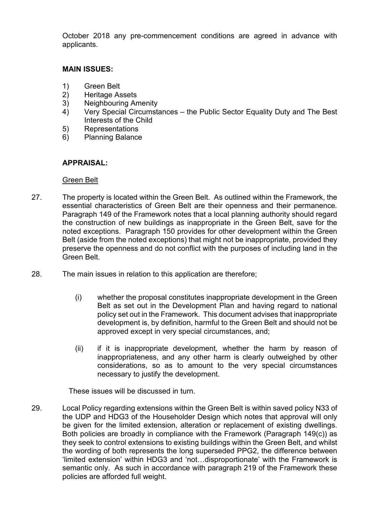October 2018 any pre-commencement conditions are agreed in advance with applicants.

## **MAIN ISSUES:**

- 1) Green Belt<br>2) Heritage As
- 2) Heritage Assets<br>3) Neighbouring Ar
- 
- 3) Neighbouring Amenity<br>4) Very Special Circumst 4) Very Special Circumstances – the Public Sector Equality Duty and The Best Interests of the Child
- 5) Representations
- 6) Planning Balance

# **APPRAISAL:**

#### Green Belt

- 27. The property is located within the Green Belt. As outlined within the Framework, the essential characteristics of Green Belt are their openness and their permanence*.*  Paragraph 149 of the Framework notes that a local planning authority should regard the construction of new buildings as inappropriate in the Green Belt, save for the noted exceptions. Paragraph 150 provides for other development within the Green Belt (aside from the noted exceptions) that might not be inappropriate, provided they preserve the openness and do not conflict with the purposes of including land in the Green Belt.
- 28. The main issues in relation to this application are therefore;
	- (i) whether the proposal constitutes inappropriate development in the Green Belt as set out in the Development Plan and having regard to national policy set out in the Framework. This document advises that inappropriate development is, by definition, harmful to the Green Belt and should not be approved except in very special circumstances, and;
	- (ii) if it is inappropriate development, whether the harm by reason of inappropriateness, and any other harm is clearly outweighed by other considerations, so as to amount to the very special circumstances necessary to justify the development.

These issues will be discussed in turn.

29. Local Policy regarding extensions within the Green Belt is within saved policy N33 of the UDP and HDG3 of the Householder Design which notes that approval will only be given for the limited extension, alteration or replacement of existing dwellings. Both policies are broadly in compliance with the Framework (Paragraph 149(c)) as they seek to control extensions to existing buildings within the Green Belt, and whilst the wording of both represents the long superseded PPG2, the difference between 'limited extension' within HDG3 and 'not…disproportionate' with the Framework is semantic only. As such in accordance with paragraph 219 of the Framework these policies are afforded full weight.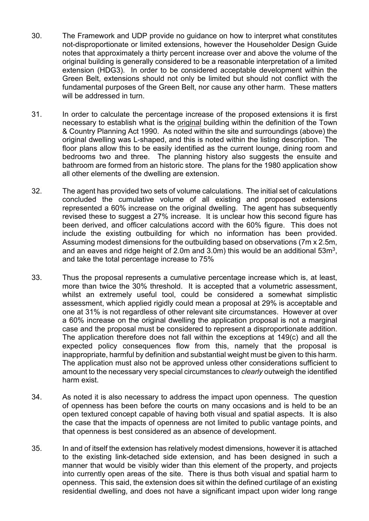- 30. The Framework and UDP provide no guidance on how to interpret what constitutes not-disproportionate or limited extensions, however the Householder Design Guide notes that approximately a thirty percent increase over and above the volume of the original building is generally considered to be a reasonable interpretation of a limited extension (HDG3). In order to be considered acceptable development within the Green Belt, extensions should not only be limited but should not conflict with the fundamental purposes of the Green Belt, nor cause any other harm. These matters will be addressed in turn.
- 31. In order to calculate the percentage increase of the proposed extensions it is first necessary to establish what is the original building within the definition of the Town & Country Planning Act 1990. As noted within the site and surroundings (above) the original dwelling was L-shaped, and this is noted within the listing description. The floor plans allow this to be easily identified as the current lounge, dining room and bedrooms two and three. The planning history also suggests the ensuite and bathroom are formed from an historic store. The plans for the 1980 application show all other elements of the dwelling are extension.
- 32. The agent has provided two sets of volume calculations. The initial set of calculations concluded the cumulative volume of all existing and proposed extensions represented a 60% increase on the original dwelling. The agent has subsequently revised these to suggest a 27% increase. It is unclear how this second figure has been derived, and officer calculations accord with the 60% figure. This does not include the existing outbuilding for which no information has been provided. Assuming modest dimensions for the outbuilding based on observations (7m x 2.5m, and an eaves and ridge height of 2.0m and 3.0m) this would be an additional  $53m^3$ , and take the total percentage increase to 75%
- 33. Thus the proposal represents a cumulative percentage increase which is, at least, more than twice the 30% threshold. It is accepted that a volumetric assessment, whilst an extremely useful tool, could be considered a somewhat simplistic assessment, which applied rigidly could mean a proposal at 29% is acceptable and one at 31% is not regardless of other relevant site circumstances. However at over a 60% increase on the original dwelling the application proposal is not a marginal case and the proposal must be considered to represent a disproportionate addition. The application therefore does not fall within the exceptions at 149(c) and all the expected policy consequences flow from this, namely that the proposal is inappropriate, harmful by definition and substantial weight must be given to this harm. The application must also not be approved unless other considerations sufficient to amount to the necessary very special circumstances to *clearly* outweigh the identified harm exist.
- 34. As noted it is also necessary to address the impact upon openness. The question of openness has been before the courts on many occasions and is held to be an open textured concept capable of having both visual and spatial aspects. It is also the case that the impacts of openness are not limited to public vantage points, and that openness is best considered as an absence of development.
- 35. In and of itself the extension has relatively modest dimensions, however it is attached to the existing link-detached side extension, and has been designed in such a manner that would be visibly wider than this element of the property, and projects into currently open areas of the site. There is thus both visual and spatial harm to openness. This said, the extension does sit within the defined curtilage of an existing residential dwelling, and does not have a significant impact upon wider long range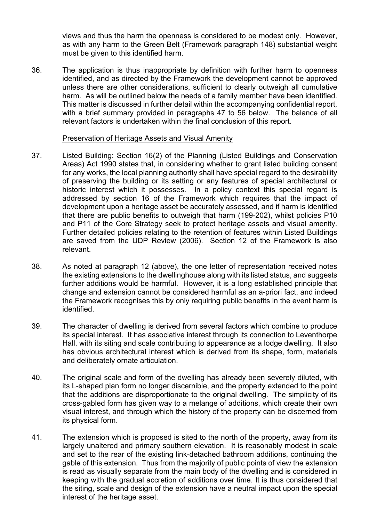views and thus the harm the openness is considered to be modest only. However, as with any harm to the Green Belt (Framework paragraph 148) substantial weight must be given to this identified harm.

36. The application is thus inappropriate by definition with further harm to openness identified, and as directed by the Framework the development cannot be approved unless there are other considerations, sufficient to clearly outweigh all cumulative harm. As will be outlined below the needs of a family member have been identified. This matter is discussed in further detail within the accompanying confidential report, with a brief summary provided in paragraphs 47 to 56 below. The balance of all relevant factors is undertaken within the final conclusion of this report.

#### Preservation of Heritage Assets and Visual Amenity

- 37. Listed Building: Section 16(2) of the Planning (Listed Buildings and Conservation Areas) Act 1990 states that, in considering whether to grant listed building consent for any works, the local planning authority shall have special regard to the desirability of preserving the building or its setting or any features of special architectural or historic interest which it possesses. In a policy context this special regard is addressed by section 16 of the Framework which requires that the impact of development upon a heritage asset be accurately assessed, and if harm is identified that there are public benefits to outweigh that harm (199-202), whilst policies P10 and P11 of the Core Strategy seek to protect heritage assets and visual amenity. Further detailed policies relating to the retention of features within Listed Buildings are saved from the UDP Review (2006). Section 12 of the Framework is also relevant.
- 38. As noted at paragraph 12 (above), the one letter of representation received notes the existing extensions to the dwellinghouse along with its listed status, and suggests further additions would be harmful. However, it is a long established principle that change and extension cannot be considered harmful as an a-priori fact, and indeed the Framework recognises this by only requiring public benefits in the event harm is identified.
- 39. The character of dwelling is derived from several factors which combine to produce its special interest. It has associative interest through its connection to Leventhorpe Hall, with its siting and scale contributing to appearance as a lodge dwelling. It also has obvious architectural interest which is derived from its shape, form, materials and deliberately ornate articulation.
- 40. The original scale and form of the dwelling has already been severely diluted, with its L-shaped plan form no longer discernible, and the property extended to the point that the additions are disproportionate to the original dwelling. The simplicity of its cross-gabled form has given way to a melange of additions, which create their own visual interest, and through which the history of the property can be discerned from its physical form.
- 41. The extension which is proposed is sited to the north of the property, away from its largely unaltered and primary southern elevation. It is reasonably modest in scale and set to the rear of the existing link-detached bathroom additions, continuing the gable of this extension. Thus from the majority of public points of view the extension is read as visually separate from the main body of the dwelling and is considered in keeping with the gradual accretion of additions over time. It is thus considered that the siting, scale and design of the extension have a neutral impact upon the special interest of the heritage asset.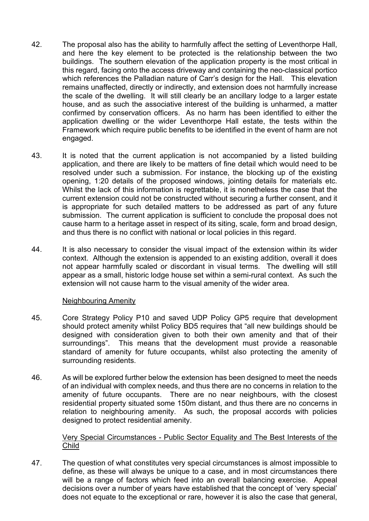- 42. The proposal also has the ability to harmfully affect the setting of Leventhorpe Hall, and here the key element to be protected is the relationship between the two buildings. The southern elevation of the application property is the most critical in this regard, facing onto the access driveway and containing the neo-classical portico which references the Palladian nature of Carr's design for the Hall. This elevation remains unaffected, directly or indirectly, and extension does not harmfully increase the scale of the dwelling. It will still clearly be an ancillary lodge to a larger estate house, and as such the associative interest of the building is unharmed, a matter confirmed by conservation officers. As no harm has been identified to either the application dwelling or the wider Leventhorpe Hall estate, the tests within the Framework which require public benefits to be identified in the event of harm are not engaged.
- 43. It is noted that the current application is not accompanied by a listed building application, and there are likely to be matters of fine detail which would need to be resolved under such a submission. For instance, the blocking up of the existing opening, 1:20 details of the proposed windows, jointing details for materials etc. Whilst the lack of this information is regrettable, it is nonetheless the case that the current extension could not be constructed without securing a further consent, and it is appropriate for such detailed matters to be addressed as part of any future submission. The current application is sufficient to conclude the proposal does not cause harm to a heritage asset in respect of its siting, scale, form and broad design, and thus there is no conflict with national or local policies in this regard.
- 44. It is also necessary to consider the visual impact of the extension within its wider context. Although the extension is appended to an existing addition, overall it does not appear harmfully scaled or discordant in visual terms. The dwelling will still appear as a small, historic lodge house set within a semi-rural context. As such the extension will not cause harm to the visual amenity of the wider area.

## Neighbouring Amenity

- 45. Core Strategy Policy P10 and saved UDP Policy GP5 require that development should protect amenity whilst Policy BD5 requires that "all new buildings should be designed with consideration given to both their own amenity and that of their<br>surroundings". This means that the development must provide a reasonable This means that the development must provide a reasonable standard of amenity for future occupants, whilst also protecting the amenity of surrounding residents.
- 46. As will be explored further below the extension has been designed to meet the needs of an individual with complex needs, and thus there are no concerns in relation to the amenity of future occupants. There are no near neighbours, with the closest residential property situated some 150m distant, and thus there are no concerns in relation to neighbouring amenity. As such, the proposal accords with policies designed to protect residential amenity.

## Very Special Circumstances - Public Sector Equality and The Best Interests of the Child

47. The question of what constitutes very special circumstances is almost impossible to define, as these will always be unique to a case, and in most circumstances there will be a range of factors which feed into an overall balancing exercise. Appeal decisions over a number of years have established that the concept of 'very special' does not equate to the exceptional or rare, however it is also the case that general,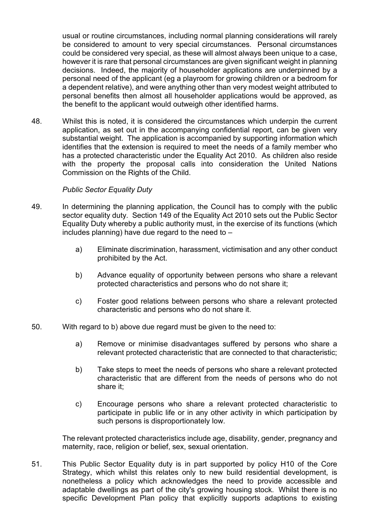usual or routine circumstances, including normal planning considerations will rarely be considered to amount to very special circumstances. Personal circumstances could be considered very special, as these will almost always been unique to a case, however it is rare that personal circumstances are given significant weight in planning decisions. Indeed, the majority of householder applications are underpinned by a personal need of the applicant (eg a playroom for growing children or a bedroom for a dependent relative), and were anything other than very modest weight attributed to personal benefits then almost all householder applications would be approved, as the benefit to the applicant would outweigh other identified harms.

48. Whilst this is noted, it is considered the circumstances which underpin the current application, as set out in the accompanying confidential report, can be given very substantial weight. The application is accompanied by supporting information which identifies that the extension is required to meet the needs of a family member who has a protected characteristic under the Equality Act 2010. As children also reside with the property the proposal calls into consideration the United Nations Commission on the Rights of the Child.

## *Public Sector Equality Duty*

- 49. In determining the planning application, the Council has to comply with the public sector equality duty. Section 149 of the Equality Act 2010 sets out the Public Sector Equality Duty whereby a public authority must, in the exercise of its functions (which includes planning) have due regard to the need to  $$ 
	- a) Eliminate discrimination, harassment, victimisation and any other conduct prohibited by the Act.
	- b) Advance equality of opportunity between persons who share a relevant protected characteristics and persons who do not share it;
	- c) Foster good relations between persons who share a relevant protected characteristic and persons who do not share it.
- 50. With regard to b) above due regard must be given to the need to:
	- a) Remove or minimise disadvantages suffered by persons who share a relevant protected characteristic that are connected to that characteristic;
	- b) Take steps to meet the needs of persons who share a relevant protected characteristic that are different from the needs of persons who do not share it;
	- c) Encourage persons who share a relevant protected characteristic to participate in public life or in any other activity in which participation by such persons is disproportionately low.

The relevant protected characteristics include age, disability, gender, pregnancy and maternity, race, religion or belief, sex, sexual orientation.

51. This Public Sector Equality duty is in part supported by policy H10 of the Core Strategy, which whilst this relates only to new build residential development, is nonetheless a policy which acknowledges the need to provide accessible and adaptable dwellings as part of the city's growing housing stock. Whilst there is no specific Development Plan policy that explicitly supports adaptions to existing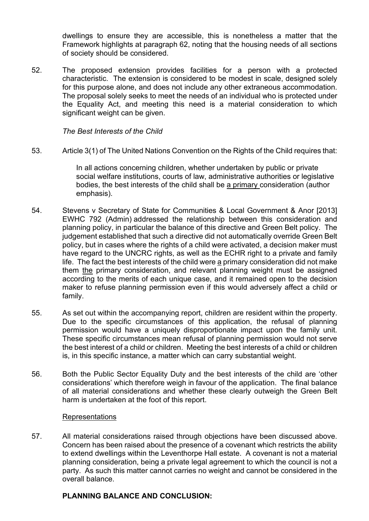dwellings to ensure they are accessible, this is nonetheless a matter that the Framework highlights at paragraph 62, noting that the housing needs of all sections of society should be considered.

52. The proposed extension provides facilities for a person with a protected characteristic. The extension is considered to be modest in scale, designed solely for this purpose alone, and does not include any other extraneous accommodation. The proposal solely seeks to meet the needs of an individual who is protected under the Equality Act, and meeting this need is a material consideration to which significant weight can be given.

*The Best Interests of the Child*

53. Article 3(1) of The United Nations Convention on the Rights of the Child requires that:

In all actions concerning children, whether undertaken by public or private social welfare institutions, courts of law, administrative authorities or legislative bodies, the best interests of the child shall be a primary consideration (author emphasis).

- 54. Stevens v Secretary of State for Communities & Local Government & Anor [2013] EWHC 792 (Admin) addressed the relationship between this consideration and planning policy, in particular the balance of this directive and Green Belt policy. The judgement established that such a directive did not automatically override Green Belt policy, but in cases where the rights of a child were activated, a decision maker must have regard to the UNCRC rights, as well as the ECHR right to a private and family life. The fact the best interests of the child were a primary consideration did not make them the primary consideration, and relevant planning weight must be assigned according to the merits of each unique case, and it remained open to the decision maker to refuse planning permission even if this would adversely affect a child or family.
- 55. As set out within the accompanying report, children are resident within the property. Due to the specific circumstances of this application, the refusal of planning permission would have a uniquely disproportionate impact upon the family unit. These specific circumstances mean refusal of planning permission would not serve the best interest of a child or children. Meeting the best interests of a child or children is, in this specific instance, a matter which can carry substantial weight.
- 56. Both the Public Sector Equality Duty and the best interests of the child are 'other considerations' which therefore weigh in favour of the application. The final balance of all material considerations and whether these clearly outweigh the Green Belt harm is undertaken at the foot of this report.

#### Representations

57. All material considerations raised through objections have been discussed above. Concern has been raised about the presence of a covenant which restricts the ability to extend dwellings within the Leventhorpe Hall estate. A covenant is not a material planning consideration, being a private legal agreement to which the council is not a party. As such this matter cannot carries no weight and cannot be considered in the overall balance.

## **PLANNING BALANCE AND CONCLUSION:**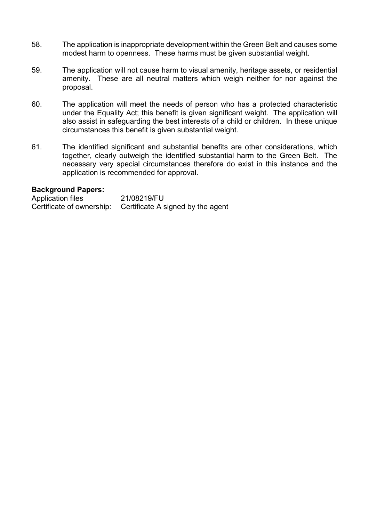- 58. The application is inappropriate development within the Green Belt and causes some modest harm to openness. These harms must be given substantial weight.
- 59. The application will not cause harm to visual amenity, heritage assets, or residential amenity. These are all neutral matters which weigh neither for nor against the proposal.
- 60. The application will meet the needs of person who has a protected characteristic under the Equality Act; this benefit is given significant weight. The application will also assist in safeguarding the best interests of a child or children. In these unique circumstances this benefit is given substantial weight.
- 61. The identified significant and substantial benefits are other considerations, which together, clearly outweigh the identified substantial harm to the Green Belt. The necessary very special circumstances therefore do exist in this instance and the application is recommended for approval.

#### **Background Papers:**

| Application files | 21/08219/FU                                                 |
|-------------------|-------------------------------------------------------------|
|                   | Certificate of ownership: Certificate A signed by the agent |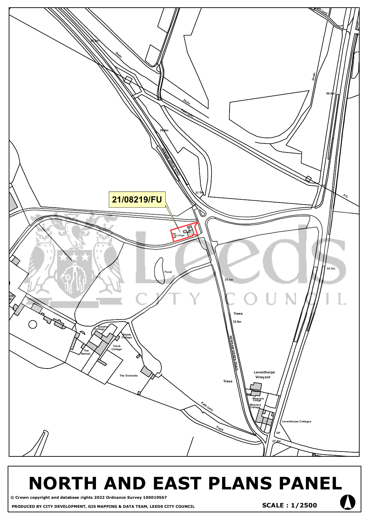

# **NORTH AND EAST PLANS PANEL**

**© Crown copyright and database rights 2022 Ordnance Survey 100019567 PRODUCED BY CITY DEVELOPMENT, GIS MAPPING & DATA TEAM, LEEDS CITY COUNCIL** °